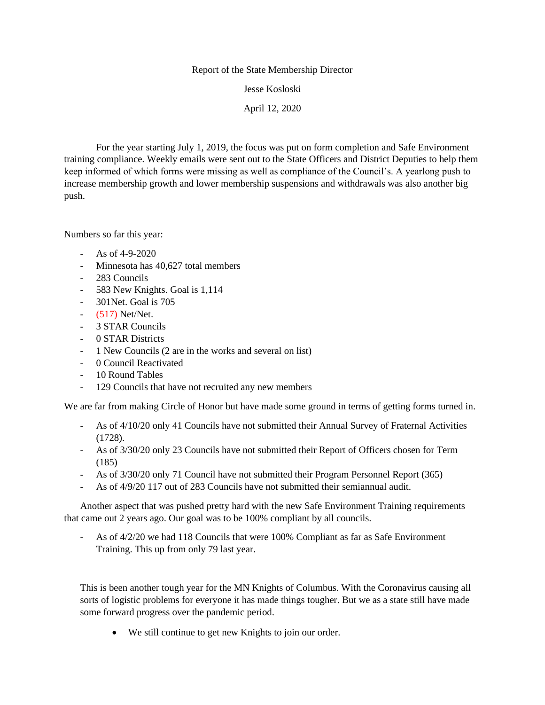## Report of the State Membership Director

Jesse Kosloski

April 12, 2020

For the year starting July 1, 2019, the focus was put on form completion and Safe Environment training compliance. Weekly emails were sent out to the State Officers and District Deputies to help them keep informed of which forms were missing as well as compliance of the Council's. A yearlong push to increase membership growth and lower membership suspensions and withdrawals was also another big push.

Numbers so far this year:

- As of 4-9-2020
- Minnesota has 40,627 total members
- 283 Councils
- 583 New Knights. Goal is 1,114
- 301Net. Goal is 705
- (517) Net/Net.
- 3 STAR Councils
- 0 STAR Districts
- 1 New Councils (2 are in the works and several on list)
- 0 Council Reactivated
- 10 Round Tables
- 129 Councils that have not recruited any new members

We are far from making Circle of Honor but have made some ground in terms of getting forms turned in.

- As of 4/10/20 only 41 Councils have not submitted their Annual Survey of Fraternal Activities (1728).
- As of 3/30/20 only 23 Councils have not submitted their Report of Officers chosen for Term (185)
- As of 3/30/20 only 71 Council have not submitted their Program Personnel Report (365)
- As of 4/9/20 117 out of 283 Councils have not submitted their semiannual audit.

Another aspect that was pushed pretty hard with the new Safe Environment Training requirements that came out 2 years ago. Our goal was to be 100% compliant by all councils.

As of  $4/2/20$  we had 118 Councils that were 100% Compliant as far as Safe Environment Training. This up from only 79 last year.

This is been another tough year for the MN Knights of Columbus. With the Coronavirus causing all sorts of logistic problems for everyone it has made things tougher. But we as a state still have made some forward progress over the pandemic period.

• We still continue to get new Knights to join our order.